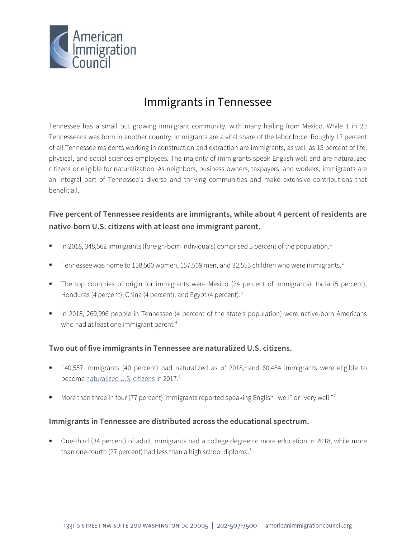

# Immigrants in Tennessee

Tennessee has a small but growing immigrant community, with many hailing from Mexico. While 1 in 20 Tennesseans was born in another country, immigrants are a vital share of the labor force. Roughly 17 percent of all Tennessee residents working in construction and extraction are immigrants, as well as 15 percent of life, physical, and social sciences employees. The majority of immigrants speak English well and are naturalized citizens or eligible for naturalization. As neighbors, business owners, taxpayers, and workers, immigrants are an integral part of Tennessee's diverse and thriving communities and make extensive contributions that benefit all.

## **Five percent of Tennessee residents are immigrants, while about 4 percent of residents are native-born U.S. citizens with at least one immigrant parent.**

- In 20[1](#page-4-0)8, 348,562 immigrants (foreign-born individuals) comprised 5 percent of the population.<sup>1</sup>
- Tennessee was home to 158,500 women, 157,509 men, and 3[2](#page-4-1),553 children who were immigrants.<sup>2</sup>
- The top countries of origin for immigrants were Mexico (24 percent of immigrants), India (5 percent), Honduras (4 percent), China (4 percent), and Egypt (4 percent).<sup>3</sup>
- In 2018, 269,996 people in Tennessee (4 percent of the state's population) were native-born Americans who had at least one immigrant parent.<sup>[4](#page-4-3)</sup>

#### **Two out of five immigrants in Tennessee are naturalized U.S. citizens.**

- $140,557$  $140,557$  $140,557$  immigrants (40 percent) had naturalized as of 2018,<sup>5</sup> and 60,484 immigrants were eligible to become [naturalized U.S. citizens](http://data.cmsny.org/state.html) in 2017.<sup>[6](#page-4-5)</sup>
- More than three in four ([7](#page-4-6)7 percent) immigrants reported speaking English "well" or "very well."<sup>7</sup>

#### **Immigrants in Tennessee are distributed across the educational spectrum.**

 One-third (34 percent) of adult immigrants had a college degree or more education in 2018, while more than one-fourth (27 percent) had less than a high school diploma.<sup>8</sup>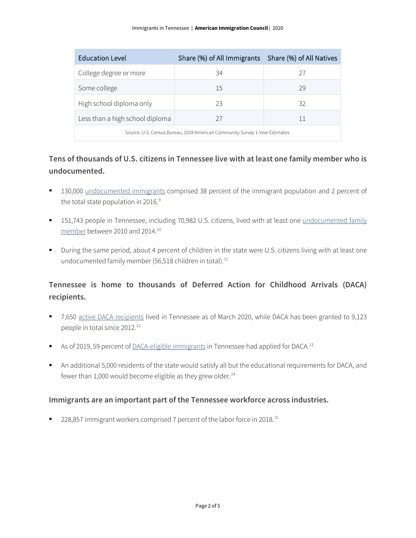| <b>Education Level</b>                                                       | Share (%) of All Immigrants   Share (%) of All Natives |    |  |
|------------------------------------------------------------------------------|--------------------------------------------------------|----|--|
| College degree or more                                                       | 34                                                     | 27 |  |
| Some college                                                                 | 15                                                     | 29 |  |
| High school diploma only                                                     | 23                                                     | 32 |  |
| Less than a high school diploma                                              | 27                                                     | 11 |  |
| Source: U.S. Census Bureau, 2018 American Community Survey 1-Year Estimates. |                                                        |    |  |

## **Tens of thousands of U.S. citizens in Tennessee live with at least one family member who is undocumented.**

- 130,000 [undocumented immigrants](http://www.pewhispanic.org/interactives/unauthorized-immigrants/) comprised 38 percent of the immigrant population and 2 percent of the total state population in 2016.<sup>[9](#page-4-8)</sup>
- <sup>1</sup> 151,743 people in Tennessee, including 70,982 U.S. citizens, lived with at least one undocumented family [member](https://www.americanprogress.org/issues/immigration/news/2017/03/16/427868/state-state-estimates-family-members-unauthorized-immigrants/) between 2010 and 2014.[10](#page-4-9)
- During the same period, about 4 percent of children in the state were U.S. citizens living with at least one undocumented family member (56,518 children in total).<sup>[11](#page-4-10)</sup>

## **Tennessee is home to thousands of Deferred Action for Childhood Arrivals (DACA) recipients.**

- 7,650 [active DACA recipients](https://www.uscis.gov/sites/default/files/document/data/Approximate%20Active%20DACA%20Receipts%20-%20March%2031%2C%202020.pdf) lived in Tennessee as of March 2020, while DACA has been granted to 9,123 people in total since 20[12](#page-4-11).<sup>12</sup>
- As of 2019, 59 percent o[f DACA-eligible immigrants](http://www.migrationpolicy.org/programs/data-hub/deferred-action-childhood-arrivals-daca-profiles) in Tennessee had applied for DACA.<sup>[13](#page-4-12)</sup>
- An additional 5,000 residents of the state would satisfy all but the educational requirements for DACA, and fewer than 1,000 would become eligible as they grew older. $14$

#### **Immigrants are an important part of the Tennessee workforce across industries.**

■ 228,857 immigrant workers comprised 7 percent of the labor force in 2018.<sup>[15](#page-4-14)</sup>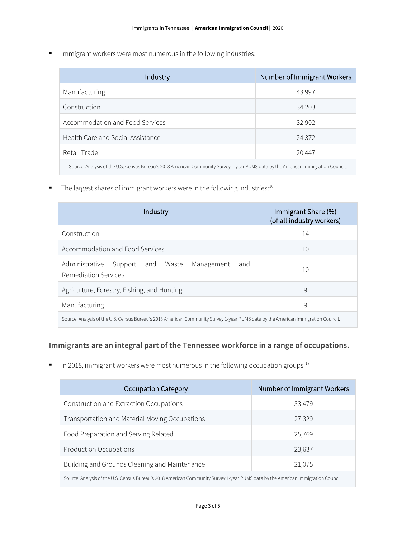**IMMI** Immigrant workers were most numerous in the following industries:

| Industry                                                                                                                          | Number of Immigrant Workers |  |
|-----------------------------------------------------------------------------------------------------------------------------------|-----------------------------|--|
| Manufacturing                                                                                                                     | 43,997                      |  |
| Construction                                                                                                                      | 34,203                      |  |
| Accommodation and Food Services                                                                                                   | 32,902                      |  |
| Health Care and Social Assistance                                                                                                 | 24,372                      |  |
| Retail Trade                                                                                                                      | 20,447                      |  |
| Source: Analysis of the U.S. Census Bureau's 2018 American Community Survey 1-year PUMS data by the American Immigration Council. |                             |  |

The largest shares of immigrant workers were in the following industries:  $16$ 

| Industry                                                                                                                          | Immigrant Share (%)<br>(of all industry workers) |  |
|-----------------------------------------------------------------------------------------------------------------------------------|--------------------------------------------------|--|
| Construction                                                                                                                      | 14                                               |  |
| Accommodation and Food Services                                                                                                   | 10                                               |  |
| Administrative<br>Support and Waste Management<br>and<br>Remediation Services                                                     | 10                                               |  |
| Agriculture, Forestry, Fishing, and Hunting                                                                                       | 9                                                |  |
| Manufacturing                                                                                                                     | 9                                                |  |
| Source: Analysis of the U.S. Census Bureau's 2018 American Community Survey 1-year PUMS data by the American Immigration Council. |                                                  |  |

### **Immigrants are an integral part of the Tennessee workforce in a range of occupations.**

In 2018, immigrant workers were most numerous in the following occupation groups: $17$ 

| <b>Occupation Category</b>                                                                                                        | Number of Immigrant Workers |  |
|-----------------------------------------------------------------------------------------------------------------------------------|-----------------------------|--|
| Construction and Extraction Occupations                                                                                           | 33,479                      |  |
| Transportation and Material Moving Occupations                                                                                    | 27,329                      |  |
| Food Preparation and Serving Related                                                                                              | 25,769                      |  |
| <b>Production Occupations</b>                                                                                                     | 23,637                      |  |
| Building and Grounds Cleaning and Maintenance                                                                                     | 21,075                      |  |
| Source: Analysis of the U.S. Census Bureau's 2018 American Community Survey 1-year PUMS data by the American Immigration Council. |                             |  |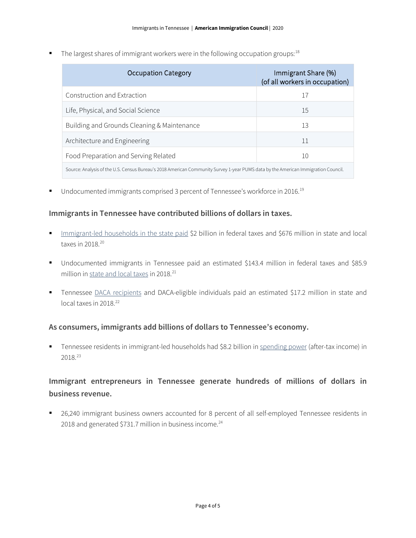The largest shares of immigrant workers were in the following occupation groups:  $18$ 

| <b>Occupation Category</b>                                                                                                        | Immigrant Share (%)<br>(of all workers in occupation) |  |
|-----------------------------------------------------------------------------------------------------------------------------------|-------------------------------------------------------|--|
| Construction and Extraction                                                                                                       | 17                                                    |  |
| Life, Physical, and Social Science                                                                                                | 15                                                    |  |
| Building and Grounds Cleaning & Maintenance                                                                                       | 13                                                    |  |
| Architecture and Engineering                                                                                                      | 11                                                    |  |
| Food Preparation and Serving Related                                                                                              | 10                                                    |  |
| Source: Analysis of the U.S. Census Bureau's 2018 American Community Survey 1-year PUMS data by the American Immigration Council. |                                                       |  |

■ Undocumented immigrants comprised 3 percent of Tennessee's workforce in 2016.<sup>[19](#page-4-18)</sup>

#### **Immigrants in Tennessee have contributed billions of dollars in taxes.**

- [Immigrant-led households in the state paid](https://www.newamericaneconomy.org/locations/) \$2 billion in federal taxes and \$676 million in state and local taxes in  $2018.<sup>20</sup>$  $2018.<sup>20</sup>$
- Undocumented immigrants in Tennessee paid an estimated \$143.4 million in federal taxes and \$85.9 million i[n state and local taxes](https://www.newamericaneconomy.org/locations/) in 2018.<sup>[21](#page-4-20)</sup>
- Tennessee [DACA recipients](https://itep.org/state-local-tax-contributions-of-young-undocumented-immigrants/) and DACA-eligible individuals paid an estimated \$17.2 million in state and local taxes in 2018.<sup>[22](#page-4-21)</sup>

#### **As consumers, immigrants add billions of dollars to Tennessee's economy.**

 Tennessee residents in immigrant-led households had \$8.2 billion in [spending power](https://www.newamericaneconomy.org/locations/) (after-tax income) in 2018.[23](#page-4-22)

## **Immigrant entrepreneurs in Tennessee generate hundreds of millions of dollars in business revenue.**

 26,240 immigrant business owners accounted for 8 percent of all self-employed Tennessee residents in 2018 and generated \$731.7 million in business income.<sup>[24](#page-4-23)</sup>